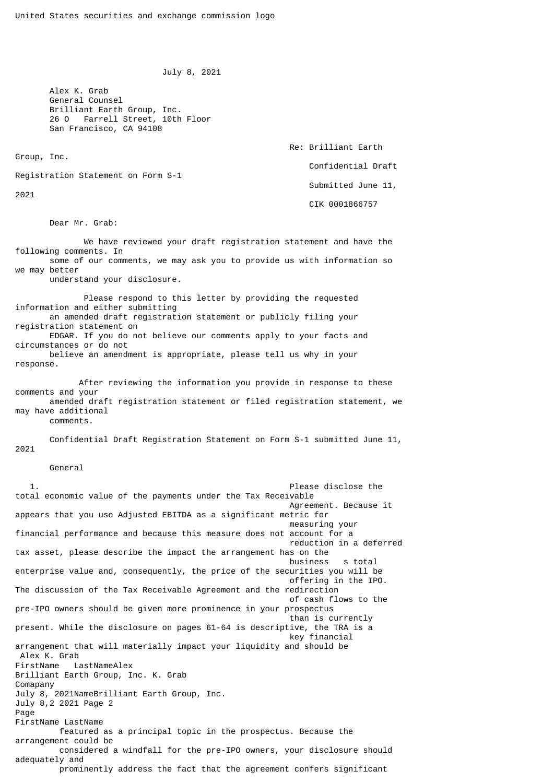```
 July 8, 2021
```
 Alex K. Grab General Counsel Brilliant Earth Group, Inc. 26 O Farrell Street, 10th Floor San Francisco, CA 94108

Group, Inc.

 Re: Brilliant Earth Confidential Draft Submitted June 11,

Registration Statement on Form S-1

2021

CIK 0001866757

Dear Mr. Grab:

 We have reviewed your draft registration statement and have the following comments. In some of our comments, we may ask you to provide us with information so we may better

understand your disclosure.

 Please respond to this letter by providing the requested information and either submitting an amended draft registration statement or publicly filing your registration statement on EDGAR. If you do not believe our comments apply to your facts and circumstances or do not believe an amendment is appropriate, please tell us why in your response.

 After reviewing the information you provide in response to these comments and your amended draft registration statement or filed registration statement, we may have additional comments.

 Confidential Draft Registration Statement on Form S-1 submitted June 11, 2021

General

 1. Please disclose the total economic value of the payments under the Tax Receivable Agreement. Because it appears that you use Adjusted EBITDA as a significant metric for measuring your financial performance and because this measure does not account for a reduction in a deferred tax asset, please describe the impact the arrangement has on the business s total enterprise value and, consequently, the price of the securities you will be offering in the IPO. The discussion of the Tax Receivable Agreement and the redirection of cash flows to the pre-IPO owners should be given more prominence in your prospectus than is currently present. While the disclosure on pages 61-64 is descriptive, the TRA is a key financial arrangement that will materially impact your liquidity and should be Alex K. Grab FirstName LastNameAlex Brilliant Earth Group, Inc. K. Grab Comapany July 8, 2021NameBrilliant Earth Group, Inc. July 8,2 2021 Page 2 Page FirstName LastName featured as a principal topic in the prospectus. Because the arrangement could be considered a windfall for the pre-IPO owners, your disclosure should adequately and prominently address the fact that the agreement confers significant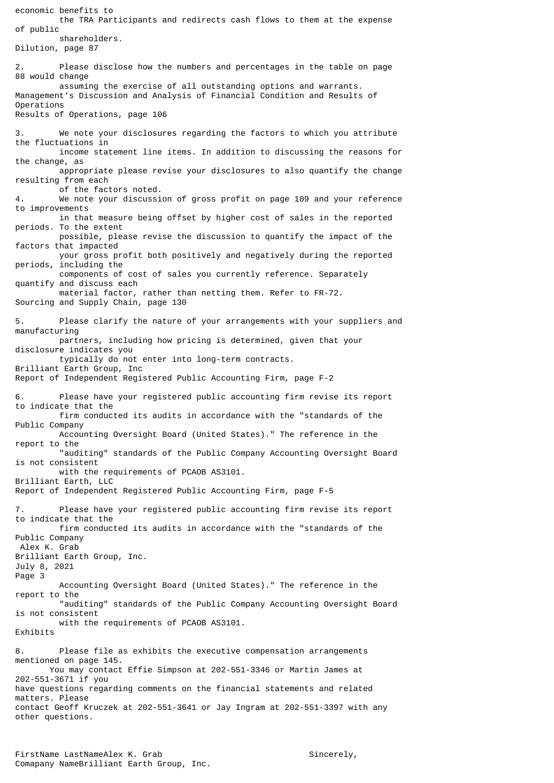economic benefits to the TRA Participants and redirects cash flows to them at the expense of public shareholders. Dilution, page 87 2. Please disclose how the numbers and percentages in the table on page 88 would change assuming the exercise of all outstanding options and warrants. Management's Discussion and Analysis of Financial Condition and Results of Operations Results of Operations, page 106 3. We note your disclosures regarding the factors to which you attribute the fluctuations in income statement line items. In addition to discussing the reasons for the change, as appropriate please revise your disclosures to also quantify the change resulting from each of the factors noted.<br>4. We note your discussi We note your discussion of gross profit on page 109 and your reference to improvements in that measure being offset by higher cost of sales in the reported periods. To the extent possible, please revise the discussion to quantify the impact of the factors that impacted your gross profit both positively and negatively during the reported periods, including the components of cost of sales you currently reference. Separately quantify and discuss each material factor, rather than netting them. Refer to FR-72. Sourcing and Supply Chain, page 130 5. Please clarify the nature of your arrangements with your suppliers and manufacturing partners, including how pricing is determined, given that your disclosure indicates you typically do not enter into long-term contracts. Brilliant Earth Group, Inc Report of Independent Registered Public Accounting Firm, page F-2 6. Please have your registered public accounting firm revise its report to indicate that the firm conducted its audits in accordance with the "standards of the Public Company Accounting Oversight Board (United States)." The reference in the report to the "auditing" standards of the Public Company Accounting Oversight Board is not consistent with the requirements of PCAOB AS3101. Brilliant Earth, LLC Report of Independent Registered Public Accounting Firm, page F-5 7. Please have your registered public accounting firm revise its report to indicate that the firm conducted its audits in accordance with the "standards of the Public Company Alex K. Grab Brilliant Earth Group, Inc. July 8, 2021 Page 3 Accounting Oversight Board (United States)." The reference in the report to the "auditing" standards of the Public Company Accounting Oversight Board is not consistent with the requirements of PCAOB AS3101. Exhibits 8. Please file as exhibits the executive compensation arrangements mentioned on page 145. You may contact Effie Simpson at 202-551-3346 or Martin James at 202-551-3671 if you have questions regarding comments on the financial statements and related matters. Please contact Geoff Kruczek at 202-551-3641 or Jay Ingram at 202-551-3397 with any other questions.

FirstName LastNameAlex K. Grab Sincerely, Comapany NameBrilliant Earth Group, Inc.